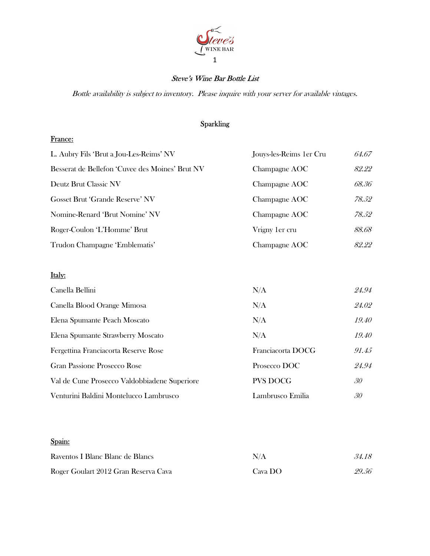

# Steve's Wine Bar Bottle List

Bottle availability is subject to inventory. Please inquire with your server for available vintages.

# Sparkling

#### France:

| L. Aubry Fils 'Brut a Jou-Les-Reims' NV         | Jouys-les-Reims 1 er Cru | 64.67 |
|-------------------------------------------------|--------------------------|-------|
| Besserat de Bellefon 'Cuvee des Moines' Brut NV | Champagne AOC            | 82.22 |
| Deutz Brut Classic NV                           | Champagne AOC            | 68.36 |
| <b>Gosset Brut 'Grande Reserve' NV</b>          | Champagne AOC            | 78.52 |
| Nomine-Renard 'Brut Nomine' NV                  | Champagne AOC            | 78.52 |
| Roger-Coulon 'L'Homme' Brut                     | Vrigny 1 er cru          | 88.68 |
| Trudon Champagne 'Emblematis'                   | Champagne AOC            | 82.22 |

# Italy:

| Canella Bellini                              | N/A               | 24.94 |
|----------------------------------------------|-------------------|-------|
| Canella Blood Orange Mimosa                  | N/A               | 24.02 |
| Elena Spumante Peach Moscato                 | N/A               | 19.40 |
| Elena Spumante Strawberry Moscato            | N/A               | 19.40 |
| Fergettina Franciacorta Reserve Rose         | Franciacorta DOCG | 91.45 |
| Gran Passione Prosecco Rose                  | Prosecco DOC      | 24.94 |
| Val de Cune Prosecco Valdobbiadene Superiore | <b>PVS DOCG</b>   | 30    |
| Venturini Baldini Montelucco Lambrusco       | Lambrusco Emilia  | 30    |

# Spain:

| Raventos I Blanc Blanc de Blancs     | N/A                      | 34.18 |
|--------------------------------------|--------------------------|-------|
| Roger Goulart 2012 Gran Reserva Cava | $\text{Cava } \text{DO}$ | 29.56 |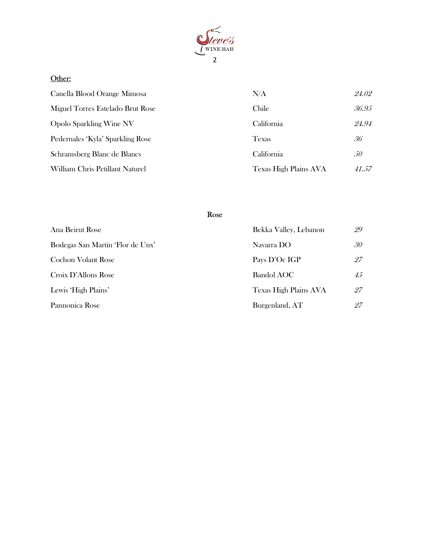

# Other:

| Canella Blood Orange Mimosa      | N/A                   | 24.02 |
|----------------------------------|-----------------------|-------|
| Miguel Torres Estelado Brut Rose | Chile                 | 36.95 |
| <b>Opolo Sparkling Wine NV</b>   | California            | 24.94 |
| Pedernales 'Kyla' Sparkling Rose | <b>Texas</b>          | 36    |
| Schramsberg Blanc de Blancs      | California            | 50    |
| William Chris Petillant Naturel  | Texas High Plains AVA | 41.57 |

# Rose

| Ana Beirut Rose                  | Bekka Valley, Lebanon | 29 |
|----------------------------------|-----------------------|----|
| Bodegas San Martin 'Flor de Unx' | Navarra DO            | 30 |
| <b>Cochon Volant Rose</b>        | Pays D'Oc IGP         | 27 |
| Croix D'Allons Rose              | <b>Bandol AOC</b>     | 45 |
| Lewis 'High Plains'              | Texas High Plains AVA | 27 |
| Pannonica Rose                   | Burgenland, AT        | 27 |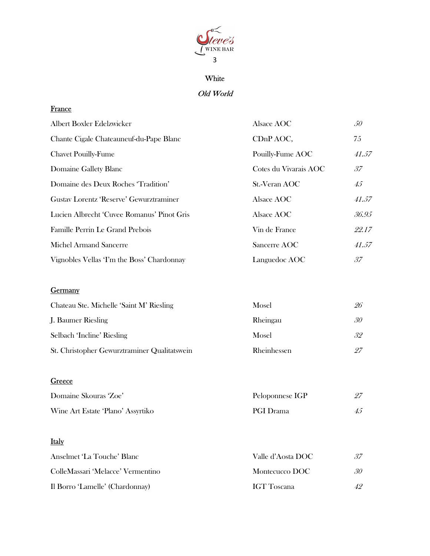

# White

# Old World

#### **France**

| Albert Boxler Edelzwicker                  | Alsace AOC            | 50           |
|--------------------------------------------|-----------------------|--------------|
| Chante Cigale Chateauneuf-du-Pape Blanc    | CDnP AOC,             | 75           |
| <b>Chavet Pouilly-Fume</b>                 | Pouilly-Fume AOC      | 41.57        |
| Domaine Gallety Blanc                      | Cotes du Vivarais AOC | 37           |
| Domaine des Deux Roches 'Tradition'        | St.-Veran AOC         | $45^{\circ}$ |
| Gustav Lorentz 'Reserve' Gewurztraminer    | Alsace AOC            | 41.57        |
| Lucien Albrecht 'Cuvee Romanus' Pinot Gris | Alsace AOC            | 36.95        |
| Famille Perrin Le Grand Prebois            | Vin de France         | 22.17        |
| Michel Armand Sancerre                     | Sancerre AOC          | 41.57        |
| Vignobles Vellas T'm the Boss' Chardonnay  | Languedoc AOC         | 37           |

# **Germany**

| Chateau Ste. Michelle 'Saint M' Riesling     | Mosel       | 26 |
|----------------------------------------------|-------------|----|
| J. Baumer Riesling                           | Rheingau    | 30 |
| Selbach 'Incline' Riesling                   | Mosel       | 32 |
| St. Christopher Gewurztraminer Qualitatswein | Rheinhessen | 97 |

# **Greece**

| Domaine Skouras 'Zoe'             | Peloponnese IGP  |  |
|-----------------------------------|------------------|--|
| Wine Art Estate 'Plano' Assyrtiko | <b>PGI</b> Drama |  |

# Italy

| Anselmet 'La Touche' Blanc        | Valle d'Aosta DOC  | 37 |
|-----------------------------------|--------------------|----|
| ColleMassari 'Melacce' Vermentino | Montecucco DOC     | 30 |
| Il Borro 'Lamelle' (Chardonnay)   | <b>IGT</b> Toscana | 42 |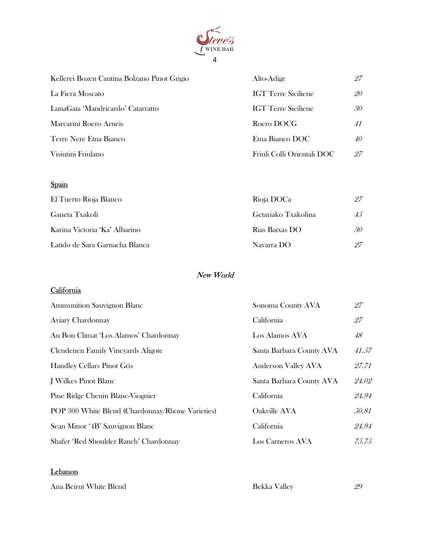

| Kellerei Bozen Cantina Bolzano Pinot Grigio | Alto-Adige                 | 97 |
|---------------------------------------------|----------------------------|----|
| La Fiera Moscato                            | <b>IGT</b> Terre Siciliene | 20 |
| LunaGaia 'Mandricardo' Catarratto           | <b>IGT</b> Terre Siciliene | 30 |
| Marcarini Roero Arneis                      | Roero DOCG                 | 41 |
| Terre Nere Etna Bianco                      | Etna Bianco DOC            | 40 |
| Visintini Friulano                          | Friuli Colli Orientali DOC | 97 |

# Spain

| El Tuerto Rioja Blanco         | Rioja DOCa          | 27 |
|--------------------------------|---------------------|----|
| Ganeta Txakoli                 | Getariako Txakolina | 45 |
| Karina Victoria 'Ka' Albarino  | Rias Baixas DO      | 30 |
| Latido de Sara Garnacha Blanca | Navarra DO          | 27 |

# New World

# **California**

| <b>Ammunition Sauvignon Blanc</b>                | Sonoma County AVA        | 27    |
|--------------------------------------------------|--------------------------|-------|
| Aviary Chardonnay                                | California               | 27    |
| Au Bon Climat 'Los Alamos' Chardonnay            | Los Alamos AVA           | 48    |
| Clendenen Family Vineyards Aligote               | Santa Barbara County AVA | 41.57 |
| <b>Handley Cellars Pinot Gris</b>                | Anderson Valley AVA      | 27.71 |
| J Wilkes Pinot Blanc                             | Santa Barbara County AVA | 24.02 |
| Pine Ridge Chenin Blanc-Viognier                 | California               | 24.94 |
| POP 300 White Blend (Chardonnay/Rhone Varieties) | Oakville AVA             | 50.81 |
| Sean Minor '4B' Sauvignon Blanc                  | California               | 24.94 |
| Shafer 'Red Shoulder Ranch' Chardonnay           | Los Carneros AVA         | 75.75 |

#### **Lebanon**

| Ana Beirut White Blend | <b>Bekka Valley</b> | 29 |
|------------------------|---------------------|----|
|                        |                     |    |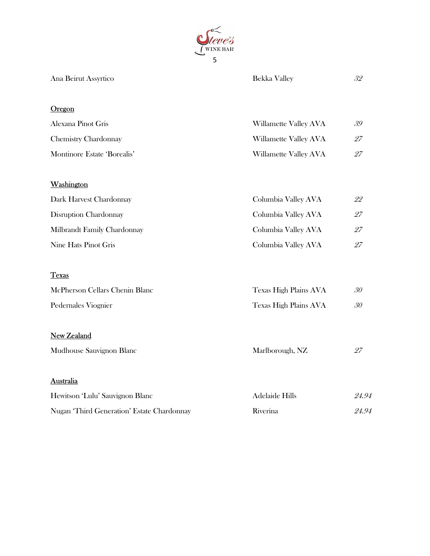

| Ana Beirut Assyrtico                       | Bekka Valley          | 32    |
|--------------------------------------------|-----------------------|-------|
| Oregon                                     |                       |       |
| Alexana Pinot Gris                         | Willamette Valley AVA | 39    |
| <b>Chemistry Chardonnay</b>                | Willamette Valley AVA | 27    |
| Montinore Estate 'Borealis'                | Willamette Valley AVA | 27    |
| Washington                                 |                       |       |
| Dark Harvest Chardonnay                    | Columbia Valley AVA   | 22    |
| Disruption Chardonnay                      | Columbia Valley AVA   | 27    |
| Milbrandt Family Chardonnay                | Columbia Valley AVA   | 27    |
| Nine Hats Pinot Gris                       | Columbia Valley AVA   | 27    |
| <b>Texas</b>                               |                       |       |
| McPherson Cellars Chenin Blanc             | Texas High Plains AVA | 30    |
| Pedernales Viognier                        | Texas High Plains AVA | 30    |
| New Zealand                                |                       |       |
| Mudhouse Sauvignon Blanc                   | Marlborough, NZ       | 27    |
| <b>Australia</b>                           |                       |       |
| Hewitson 'Lulu' Sauvignon Blanc            | <b>Adelaide Hills</b> | 24.94 |
| Nugan 'Third Generation' Estate Chardonnay | Riverina              | 24.94 |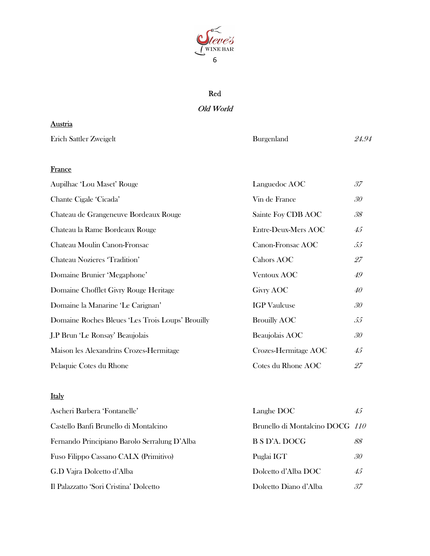

# Red

## Old World

| Austria                                          |                      |                 |
|--------------------------------------------------|----------------------|-----------------|
| Erich Sattler Zweigelt                           | Burgenland           | 24.94           |
|                                                  |                      |                 |
| France                                           |                      |                 |
| Aupilhac 'Lou Maset' Rouge                       | Languedoc AOC        | 37              |
| Chante Cigale 'Cicada'                           | Vin de France        | 30              |
| Chateau de Grangeneuve Bordeaux Rouge            | Sainte Foy CDB AOC   | 38              |
| Chateau la Rame Bordeaux Rouge                   | Entre-Deux-Mers AOC  | 45              |
| Chateau Moulin Canon-Fronsac                     | Canon-Fronsac AOC    | 55              |
| Chateau Nozieres 'Tradition'                     | Cahors AOC           | 27              |
| Domaine Brunier 'Megaphone'                      | <b>Ventoux AOC</b>   | 49              |
| Domaine Chofflet Givry Rouge Heritage            | Givry AOC            | 40              |
| Domaine la Manarine 'Le Carignan'                | <b>IGP</b> Vaulcuse  | 30 <sub>o</sub> |
| Domaine Roches Bleues 'Les Trois Loups' Brouilly | <b>Brouilly AOC</b>  | 55              |
| J.P Brun 'Le Ronsay' Beaujolais                  | Beaujolais AOC       | 30              |
| Maison les Alexandrins Crozes-Hermitage          | Crozes-Hermitage AOC | 45              |
| Pelaquie Cotes du Rhone                          | Cotes du Rhone AOC   | 27              |

# Italy

| Ascheri Barbera 'Fontanelle'                 | Langhe DOC                      | 45 |
|----------------------------------------------|---------------------------------|----|
| Castello Banfi Brunello di Montalcino        | Brunello di Montalcino DOCG 110 |    |
| Fernando Principiano Barolo Serralung D'Alba | B S D'A. DOCG                   | 88 |
| Fuso Filippo Cassano CALX (Primitivo)        | Puglai IGT                      | 30 |
| G.D Vajra Dolcetto d'Alba                    | Dolcetto d'Alba DOC             | 45 |
| Il Palazzatto 'Sori Cristina' Dolcetto       | Dolcetto Diano d'Alba           | 37 |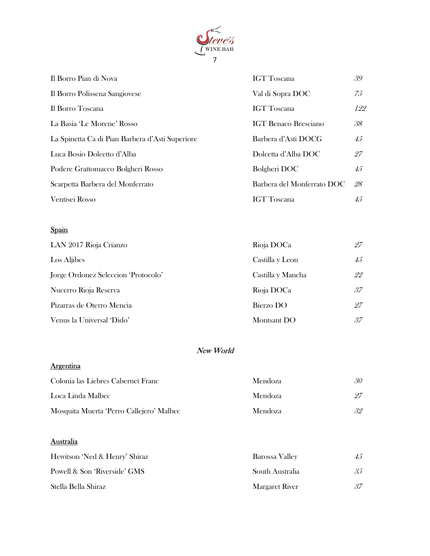

| Il Borro Pian di Nova                           | <b>IGT</b> Toscana          | 39           |
|-------------------------------------------------|-----------------------------|--------------|
| Il Borro Polissena Sangiovese                   | Val di Sopra DOC            | 75           |
| Il Borro Toscana                                | <b>IGT</b> Toscana          | 122          |
| La Basia 'Le Morene' Rosso                      | <b>IGT Benaco Bresciano</b> | 38           |
| La Spinetta Ca di Pian Barbera d'Asti Superiore | Barbera d'Asti DOCG         | $45^{\circ}$ |
| Luca Bosio Dolcetto d'Alba                      | Dolcetta d'Alba DOC         | -27          |
| Podere Grattomacco Bolgheri Rosso               | Bolgheri DOC                | 45           |
| Scarpetta Barbera del Monferrato                | Barbera del Monferrato DOC  | -28          |
| Ventisei Rosso                                  | <b>IGT</b> Toscana          | 45           |

# Spain

| LAN 2017 Rioja Crianzo              | Rioja DOCa        | 27           |
|-------------------------------------|-------------------|--------------|
| Los Aljibes                         | Castilla y Leon   | $45^{\circ}$ |
| Jorge Ordonez Seleccion 'Protocolo' | Castilla y Mancha | 22           |
| Nucerro Rioja Reserva               | Rioja DOCa        | 37           |
| Pizarras de Oterro Mencia           | Bierzo DO         | 27           |
| Venus la Universal 'Dido'           | Montsant DO       | 37           |

# New World

# **Argentina**

| Colonia las Liebres Cabernet Franc       | <b>Mendoza</b> | 30 |
|------------------------------------------|----------------|----|
| Loca Linda Malbec                        | <b>Mendoza</b> |    |
| Mosquita Muerta 'Perro Callejero' Malbec | <b>Mendoza</b> | 32 |

# **Australia**

| Hewitson 'Ned & Henry' Shiraz | Barossa Valley  | 45 |
|-------------------------------|-----------------|----|
| Powell & Son 'Riverside' GMS  | South Australia | 35 |
| Stella Bella Shiraz           | Margaret River  | 37 |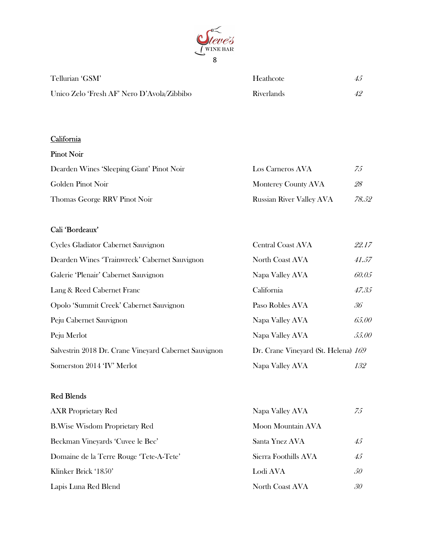

| Tellurian 'GSM'                            | Heathcote         | 45 |
|--------------------------------------------|-------------------|----|
| Unico Zelo 'Fresh AF' Nero D'Avola/Zibbibo | <b>Riverlands</b> |    |

# **California**

### Pinot Noir

| Dearden Wines 'Sleeping Giant' Pinot Noir | Los Carneros AVA                | 75    |
|-------------------------------------------|---------------------------------|-------|
| Golden Pinot Noir                         | Monterey County AVA             | 28    |
| Thomas George RRV Pinot Noir              | <b>Russian River Valley AVA</b> | 78.52 |

# Cali 'Bordeaux'

| Cycles Gladiator Cabernet Sauvignon                   | <b>Central Coast AVA</b>            | 22.17 |
|-------------------------------------------------------|-------------------------------------|-------|
| Dearden Wines 'Trainwreck' Cabernet Sauvignon         | North Coast AVA                     | 41.57 |
| Galerie 'Plenair' Cabernet Sauvignon                  | Napa Valley AVA                     | 60.05 |
| Lang & Reed Cabernet Franc                            | California                          | 47.35 |
| Opolo 'Summit Creek' Cabernet Sauvignon               | Paso Robles AVA                     | 36    |
| Peju Cabernet Sauvignon                               | Napa Valley AVA                     | 65.00 |
| Peju Merlot                                           | Napa Valley AVA                     | 55.00 |
| Salvestrin 2018 Dr. Crane Vineyard Cabernet Sauvignon | Dr. Crane Vineyard (St. Helena) 169 |       |
| Somerston 2014 'IV' Merlot                            | Napa Valley AVA                     | 132   |

# Red Blends

| <b>AXR</b> Proprietary Red              | Napa Valley AVA      | 75              |
|-----------------------------------------|----------------------|-----------------|
| <b>B.Wise Wisdom Proprietary Red</b>    | Moon Mountain AVA    |                 |
| Beckman Vineyards 'Cuvee le Bec'        | Santa Ynez AVA       | 45              |
| Domaine de la Terre Rouge 'Tete-A-Tete' | Sierra Foothills AVA | 45 <sup>°</sup> |
| Klinker Brick '1850'                    | Lodi AVA             | 50              |
| Lapis Luna Red Blend                    | North Coast AVA      | 30              |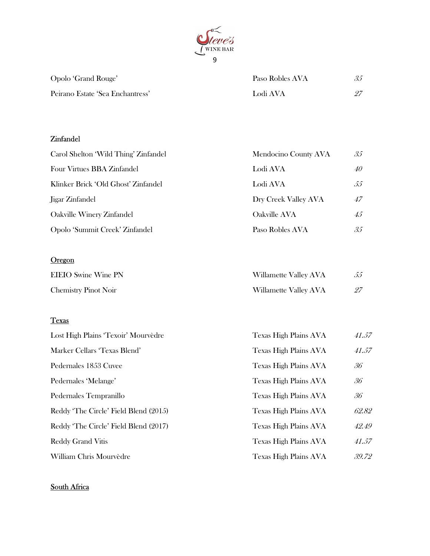

| Opolo 'Grand Rouge'              | Paso Robles AVA | 35 |
|----------------------------------|-----------------|----|
| Peirano Estate 'Sea Enchantress' | Lodi AVA        |    |

## Zinfandel

| Carol Shelton 'Wild Thing' Zinfandel | Mendocino County AVA | 35              |
|--------------------------------------|----------------------|-----------------|
| Four Virtues BBA Zinfandel           | Lodi AVA             | 40              |
| Klinker Brick 'Old Ghost' Zinfandel  | Lodi AVA             | 55              |
| Jigar Zinfandel                      | Dry Creek Valley AVA | 47              |
| Oakville Winery Zinfandel            | Oakville AVA         | $45^{\circ}$    |
| Opolo 'Summit Creek' Zinfandel       | Paso Robles AVA      | 35 <sup>°</sup> |

# **Oregon**

| <b>EIEIO</b> Swine Wine PN  | Willamette Valley AVA |  |
|-----------------------------|-----------------------|--|
| <b>Chemistry Pinot Noir</b> | Willamette Valley AVA |  |

# **Texas**

| Lost High Plains 'Texoir' Mourvèdre   | Texas High Plains AVA        | 41.57 |
|---------------------------------------|------------------------------|-------|
| Marker Cellars 'Texas Blend'          | Texas High Plains AVA        | 41.57 |
| Pedernales 1853 Cuvee                 | Texas High Plains AVA        | 36    |
| Pedernales 'Melange'                  | Texas High Plains AVA        | 36    |
| Pedernales Tempranillo                | <b>Texas High Plains AVA</b> | 36    |
| Reddy 'The Circle' Field Blend (2015) | Texas High Plains AVA        | 62.82 |
| Reddy 'The Circle' Field Blend (2017) | <b>Texas High Plains AVA</b> | 42.49 |
| <b>Reddy Grand Vitis</b>              | <b>Texas High Plains AVA</b> | 41.57 |
| William Chris Mourvèdre               | <b>Texas High Plains AVA</b> | 39.72 |

## South Africa